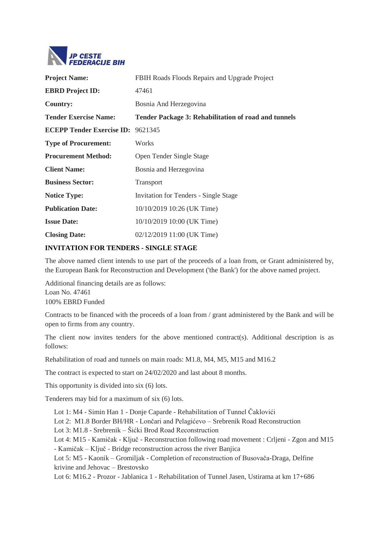

| <b>Project Name:</b>                     | FBIH Roads Floods Repairs and Upgrade Project               |
|------------------------------------------|-------------------------------------------------------------|
| <b>EBRD</b> Project <b>ID</b> :          | 47461                                                       |
| <b>Country:</b>                          | Bosnia And Herzegovina                                      |
| <b>Tender Exercise Name:</b>             | <b>Tender Package 3: Rehabilitation of road and tunnels</b> |
| <b>ECEPP Tender Exercise ID: 9621345</b> |                                                             |
| <b>Type of Procurement:</b>              | Works                                                       |
| <b>Procurement Method:</b>               | Open Tender Single Stage                                    |
| <b>Client Name:</b>                      | Bosnia and Herzegovina                                      |
| <b>Business Sector:</b>                  | Transport                                                   |
| <b>Notice Type:</b>                      | <b>Invitation for Tenders - Single Stage</b>                |
| <b>Publication Date:</b>                 | 10/10/2019 10:26 (UK Time)                                  |
| <b>Issue Date:</b>                       | 10/10/2019 10:00 (UK Time)                                  |
| <b>Closing Date:</b>                     | 02/12/2019 11:00 (UK Time)                                  |
|                                          |                                                             |

## **INVITATION FOR TENDERS - SINGLE STAGE**

The above named client intends to use part of the proceeds of a loan from, or Grant administered by, the European Bank for Reconstruction and Development ('the Bank') for the above named project.

Additional financing details are as follows: Loan No. 47461 100% EBRD Funded

Contracts to be financed with the proceeds of a loan from / grant administered by the Bank and will be open to firms from any country.

The client now invites tenders for the above mentioned contract(s). Additional description is as follows:

Rehabilitation of road and tunnels on main roads: M1.8, M4, M5, M15 and M16.2

The contract is expected to start on 24/02/2020 and last about 8 months.

This opportunity is divided into six (6) lots.

Tenderers may bid for a maximum of six (6) lots.

Lot 1: M4 - Simin Han 1 - Donje Caparde - Rehabilitation of Tunnel Čaklovići

Lot 2: M1.8 Border BH/HR - Lončari and Pelagićevo – Srebrenik Road Reconstruction

Lot 3: M1.8 - Srebrenik – Šićki Brod Road Reconstruction

Lot 4: M15 - Kamičak - Ključ - Reconstruction following road movement : Crljeni - Zgon and M15

- Kamičak – Ključ - Bridge reconstruction across the river Banjica

Lot 5: M5 - Kaonik – Gromiljak - Completion of reconstruction of Busovača-Draga, Delfine krivine and Jehovac – Brestovsko

Lot 6: M16.2 - Prozor - Jablanica 1 - Rehabilitation of Tunnel Jasen, Ustirama at km 17+686